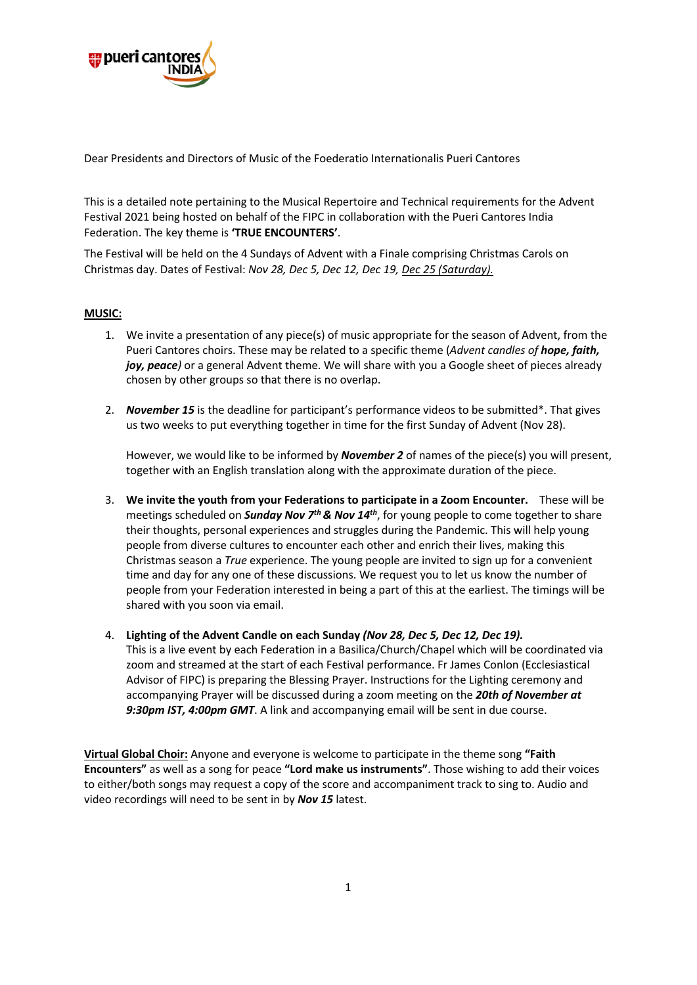

Dear Presidents and Directors of Music of the Foederatio Internationalis Pueri Cantores

This is a detailed note pertaining to the Musical Repertoire and Technical requirements for the Advent Festival 2021 being hosted on behalf of the FIPC in collaboration with the Pueri Cantores India Federation. The key theme is **'TRUE ENCOUNTERS'**.

The Festival will be held on the 4 Sundays of Advent with a Finale comprising Christmas Carols on Christmas day. Dates of Festival: *Nov 28, Dec 5, Dec 12, Dec 19, Dec 25 (Saturday).*

## **MUSIC:**

- 1. We invite a presentation of any piece(s) of music appropriate for the season of Advent, from the Pueri Cantores choirs. These may be related to a specific theme (*Advent candles of hope, faith, joy, peace*) or a general Advent theme. We will share with you a Google sheet of pieces already chosen by other groups so that there is no overlap.
- 2. *November 15* is the deadline for participant's performance videos to be submitted\*. That gives us two weeks to put everything together in time for the first Sunday of Advent (Nov 28).

However, we would like to be informed by *November 2* of names of the piece(s) you will present, together with an English translation along with the approximate duration of the piece.

- 3. **We invite the youth from your Federations to participate in a Zoom Encounter.** These will be meetings scheduled on *Sunday Nov 7th & Nov 14th*, for young people to come together to share their thoughts, personal experiences and struggles during the Pandemic. This will help young people from diverse cultures to encounter each other and enrich their lives, making this Christmas season a *True* experience. The young people are invited to sign up for a convenient time and day for any one of these discussions. We request you to let us know the number of people from your Federation interested in being a part of this at the earliest. The timings will be shared with you soon via email.
- 4. **Lighting of the Advent Candle on each Sunday** *(Nov 28, Dec 5, Dec 12, Dec 19).* This is a live event by each Federation in a Basilica/Church/Chapel which will be coordinated via zoom and streamed at the start of each Festival performance. Fr James Conlon (Ecclesiastical Advisor of FIPC) is preparing the Blessing Prayer. Instructions for the Lighting ceremony and accompanying Prayer will be discussed during a zoom meeting on the *20th of November at 9:30pm IST, 4:00pm GMT*. A link and accompanying email will be sent in due course.

**Virtual Global Choir:** Anyone and everyone is welcome to participate in the theme song **"Faith Encounters"** as well as a song for peace **"Lord make us instruments"**. Those wishing to add their voices to either/both songs may request a copy of the score and accompaniment track to sing to. Audio and video recordings will need to be sent in by *Nov 15* latest.